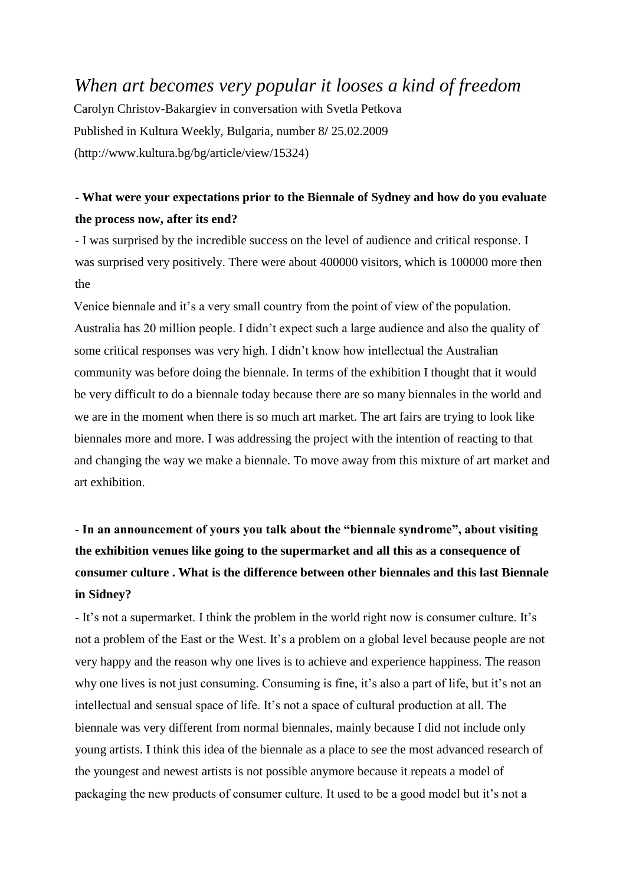## *When art becomes very popular it looses a kind of freedom*

Carolyn Christov-Bakargiev in conversation with Svetla Petkova Published in Kultura Weekly, Bulgaria, number 8**/** 25.02.2009 (http://www.kultura.bg/bg/article/view/15324)

#### **- What were your expectations prior to the Biennale of Sydney and how do you evaluate the process now, after its end?**

- I was surprised by the incredible success on the level of audience and critical response. I was surprised very positively. There were about 400000 visitors, which is 100000 more then the

Venice biennale and it's a very small country from the point of view of the population. Australia has 20 million people. I didn't expect such a large audience and also the quality of some critical responses was very high. I didn't know how intellectual the Australian community was before doing the biennale. In terms of the exhibition I thought that it would be very difficult to do a biennale today because there are so many biennales in the world and we are in the moment when there is so much art market. The art fairs are trying to look like biennales more and more. I was addressing the project with the intention of reacting to that and changing the way we make a biennale. To move away from this mixture of art market and art exhibition.

# **- In an announcement of yours you talk about the "biennale syndrome", about visiting the exhibition venues like going to the supermarket and all this as a consequence of consumer culture . What is the difference between other biennales and this last Biennale in Sidney?**

- It's not a supermarket. I think the problem in the world right now is consumer culture. It's not a problem of the East or the West. It's a problem on a global level because people are not very happy and the reason why one lives is to achieve and experience happiness. The reason why one lives is not just consuming. Consuming is fine, it's also a part of life, but it's not an intellectual and sensual space of life. It's not a space of cultural production at all. The biennale was very different from normal biennales, mainly because I did not include only young artists. I think this idea of the biennale as a place to see the most advanced research of the youngest and newest artists is not possible anymore because it repeats a model of packaging the new products of consumer culture. It used to be a good model but it's not a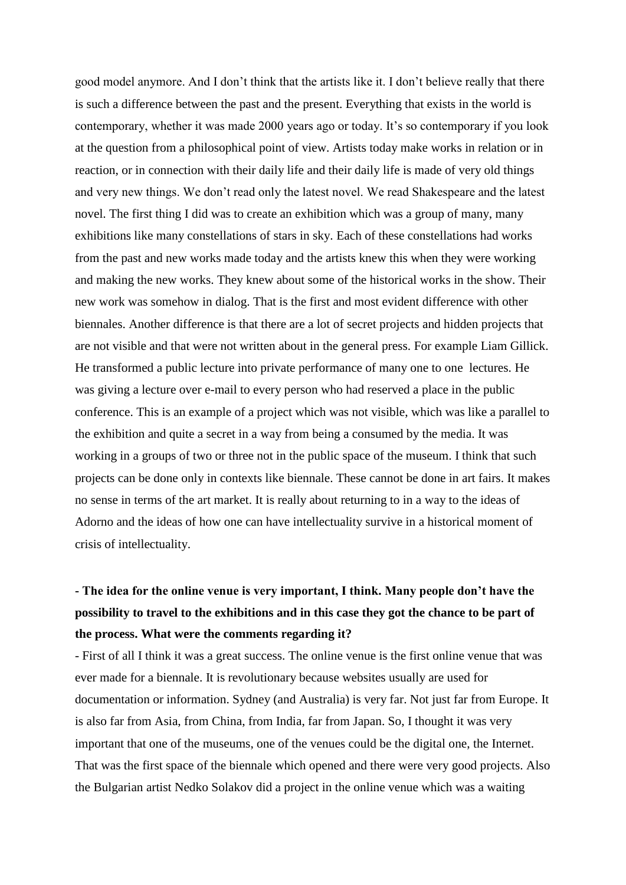good model anymore. And I don't think that the artists like it. I don't believe really that there is such a difference between the past and the present. Everything that exists in the world is contemporary, whether it was made 2000 years ago or today. It's so contemporary if you look at the question from a philosophical point of view. Artists today make works in relation or in reaction, or in connection with their daily life and their daily life is made of very old things and very new things. We don't read only the latest novel. We read Shakespeare and the latest novel. The first thing I did was to create an exhibition which was a group of many, many exhibitions like many constellations of stars in sky. Each of these constellations had works from the past and new works made today and the artists knew this when they were working and making the new works. They knew about some of the historical works in the show. Their new work was somehow in dialog. That is the first and most evident difference with other biennales. Another difference is that there are a lot of secret projects and hidden projects that are not visible and that were not written about in the general press. For example Liam Gillick. He transformed a public lecture into private performance of many one to one lectures. He was giving a lecture over e-mail to every person who had reserved a place in the public conference. This is an example of a project which was not visible, which was like a parallel to the exhibition and quite a secret in a way from being a consumed by the media. It was working in a groups of two or three not in the public space of the museum. I think that such projects can be done only in contexts like biennale. These cannot be done in art fairs. It makes no sense in terms of the art market. It is really about returning to in a way to the ideas of Adorno and the ideas of how one can have intellectuality survive in a historical moment of crisis of intellectuality.

## **- The idea for the online venue is very important, I think. Many people don't have the possibility to travel to the exhibitions and in this case they got the chance to be part of the process. What were the comments regarding it?**

- First of all I think it was a great success. The online venue is the first online venue that was ever made for a biennale. It is revolutionary because websites usually are used for documentation or information. Sydney (and Australia) is very far. Not just far from Europe. It is also far from Asia, from China, from India, far from Japan. So, I thought it was very important that one of the museums, one of the venues could be the digital one, the Internet. That was the first space of the biennale which opened and there were very good projects. Also the Bulgarian artist Nedko Solakov did a project in the online venue which was a waiting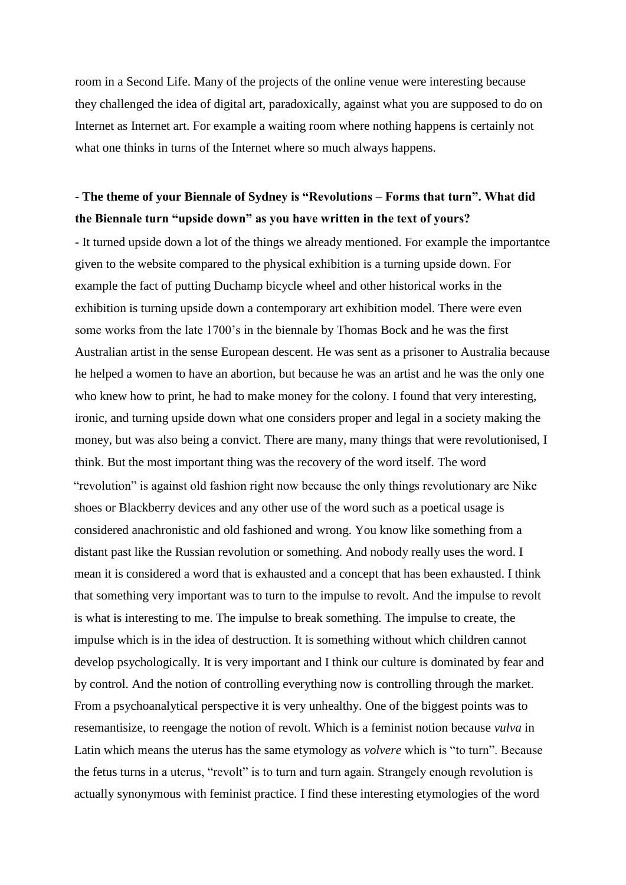room in a Second Life. Many of the projects of the online venue were interesting because they challenged the idea of digital art, paradoxically, against what you are supposed to do on Internet as Internet art. For example a waiting room where nothing happens is certainly not what one thinks in turns of the Internet where so much always happens.

#### **- The theme of your Biennale of Sydney is "Revolutions – Forms that turn". What did the Biennale turn "upside down" as you have written in the text of yours?**

- It turned upside down a lot of the things we already mentioned. For example the importantce given to the website compared to the physical exhibition is a turning upside down. For example the fact of putting Duchamp bicycle wheel and other historical works in the exhibition is turning upside down a contemporary art exhibition model. There were even some works from the late 1700's in the biennale by Thomas Bock and he was the first Australian artist in the sense European descent. He was sent as a prisoner to Australia because he helped a women to have an abortion, but because he was an artist and he was the only one who knew how to print, he had to make money for the colony. I found that very interesting, ironic, and turning upside down what one considers proper and legal in a society making the money, but was also being a convict. There are many, many things that were revolutionised, I think. But the most important thing was the recovery of the word itself. The word "revolution" is against old fashion right now because the only things revolutionary are Nike shoes or Blackberry devices and any other use of the word such as a poetical usage is considered anachronistic and old fashioned and wrong. You know like something from a distant past like the Russian revolution or something. And nobody really uses the word. I mean it is considered a word that is exhausted and a concept that has been exhausted. I think that something very important was to turn to the impulse to revolt. And the impulse to revolt is what is interesting to me. The impulse to break something. The impulse to create, the impulse which is in the idea of destruction. It is something without which children cannot develop psychologically. It is very important and I think our culture is dominated by fear and by control. And the notion of controlling everything now is controlling through the market. From a psychoanalytical perspective it is very unhealthy. One of the biggest points was to resemantisize, to reengage the notion of revolt. Which is a feminist notion because *vulva* in Latin which means the uterus has the same etymology as *volvere* which is "to turn". Because the fetus turns in a uterus, "revolt" is to turn and turn again. Strangely enough revolution is actually synonymous with feminist practice. I find these interesting etymologies of the word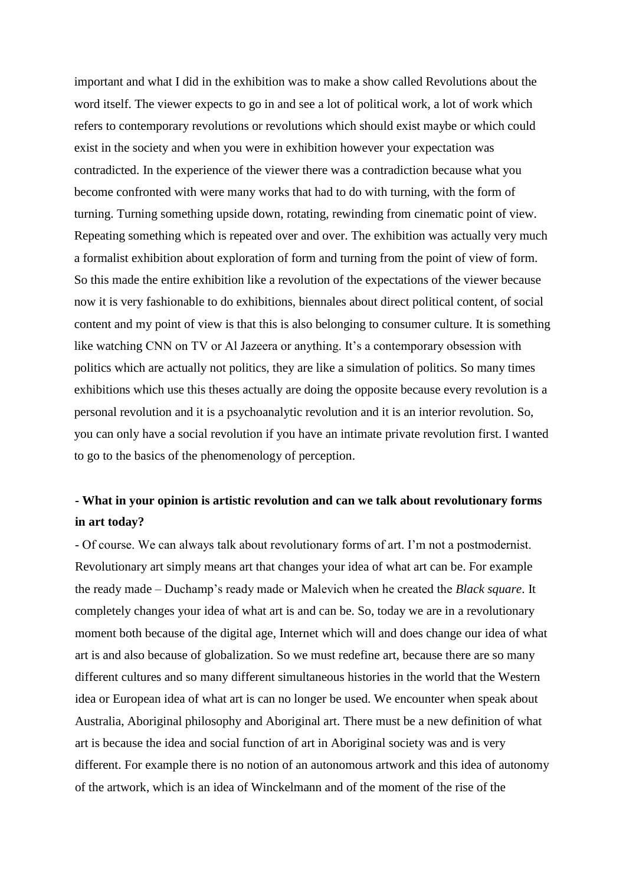important and what I did in the exhibition was to make a show called Revolutions about the word itself. The viewer expects to go in and see a lot of political work, a lot of work which refers to contemporary revolutions or revolutions which should exist maybe or which could exist in the society and when you were in exhibition however your expectation was contradicted. In the experience of the viewer there was a contradiction because what you become confronted with were many works that had to do with turning, with the form of turning. Turning something upside down, rotating, rewinding from cinematic point of view. Repeating something which is repeated over and over. The exhibition was actually very much a formalist exhibition about exploration of form and turning from the point of view of form. So this made the entire exhibition like a revolution of the expectations of the viewer because now it is very fashionable to do exhibitions, biennales about direct political content, of social content and my point of view is that this is also belonging to consumer culture. It is something like watching CNN on TV or Al Jazeera or anything. It's a contemporary obsession with politics which are actually not politics, they are like a simulation of politics. So many times exhibitions which use this theses actually are doing the opposite because every revolution is a personal revolution and it is a psychoanalytic revolution and it is an interior revolution. So, you can only have a social revolution if you have an intimate private revolution first. I wanted to go to the basics of the phenomenology of perception.

## **- What in your opinion is artistic revolution and can we talk about revolutionary forms in art today?**

- Of course. We can always talk about revolutionary forms of art. I'm not a postmodernist. Revolutionary art simply means art that changes your idea of what art can be. For example the ready made – Duchamp's ready made or Malevich when he created the *Black square*. It completely changes your idea of what art is and can be. So, today we are in a revolutionary moment both because of the digital age, Internet which will and does change our idea of what art is and also because of globalization. So we must redefine art, because there are so many different cultures and so many different simultaneous histories in the world that the Western idea or European idea of what art is can no longer be used. We encounter when speak about Australia, Aboriginal philosophy and Aboriginal art. There must be a new definition of what art is because the idea and social function of art in Aboriginal society was and is very different. For example there is no notion of an autonomous artwork and this idea of autonomy of the artwork, which is an idea of Winckelmann and of the moment of the rise of the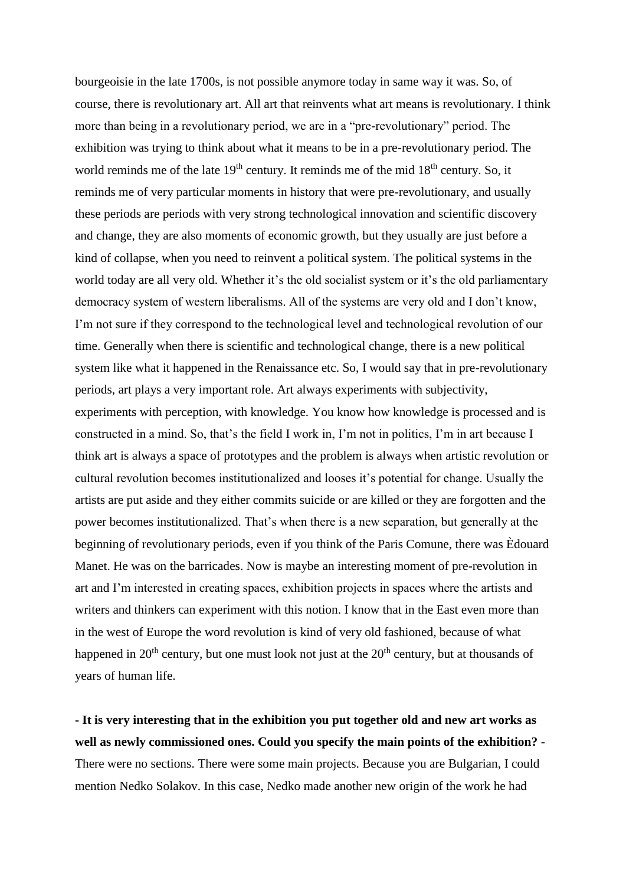bourgeoisie in the late 1700s, is not possible anymore today in same way it was. So, of course, there is revolutionary art. All art that reinvents what art means is revolutionary. I think more than being in a revolutionary period, we are in a "pre-revolutionary" period. The exhibition was trying to think about what it means to be in a pre-revolutionary period. The world reminds me of the late  $19<sup>th</sup>$  century. It reminds me of the mid  $18<sup>th</sup>$  century. So, it reminds me of very particular moments in history that were pre-revolutionary, and usually these periods are periods with very strong technological innovation and scientific discovery and change, they are also moments of economic growth, but they usually are just before a kind of collapse, when you need to reinvent a political system. The political systems in the world today are all very old. Whether it's the old socialist system or it's the old parliamentary democracy system of western liberalisms. All of the systems are very old and I don't know, I'm not sure if they correspond to the technological level and technological revolution of our time. Generally when there is scientific and technological change, there is a new political system like what it happened in the Renaissance etc. So, I would say that in pre-revolutionary periods, art plays a very important role. Art always experiments with subjectivity, experiments with perception, with knowledge. You know how knowledge is processed and is constructed in a mind. So, that's the field I work in, I'm not in politics, I'm in art because I think art is always a space of prototypes and the problem is always when artistic revolution or cultural revolution becomes institutionalized and looses it's potential for change. Usually the artists are put aside and they either commits suicide or are killed or they are forgotten and the power becomes institutionalized. That's when there is a new separation, but generally at the beginning of revolutionary periods, even if you think of the Paris Comune, there was Èdouard Manet. He was on the barricades. Now is maybe an interesting moment of pre-revolution in art and I'm interested in creating spaces, exhibition projects in spaces where the artists and writers and thinkers can experiment with this notion. I know that in the East even more than in the west of Europe the word revolution is kind of very old fashioned, because of what happened in  $20<sup>th</sup>$  century, but one must look not just at the  $20<sup>th</sup>$  century, but at thousands of years of human life.

**- It is very interesting that in the exhibition you put together old and new art works as well as newly commissioned ones. Could you specify the main points of the exhibition?** - There were no sections. There were some main projects. Because you are Bulgarian, I could mention Nedko Solakov. In this case, Nedko made another new origin of the work he had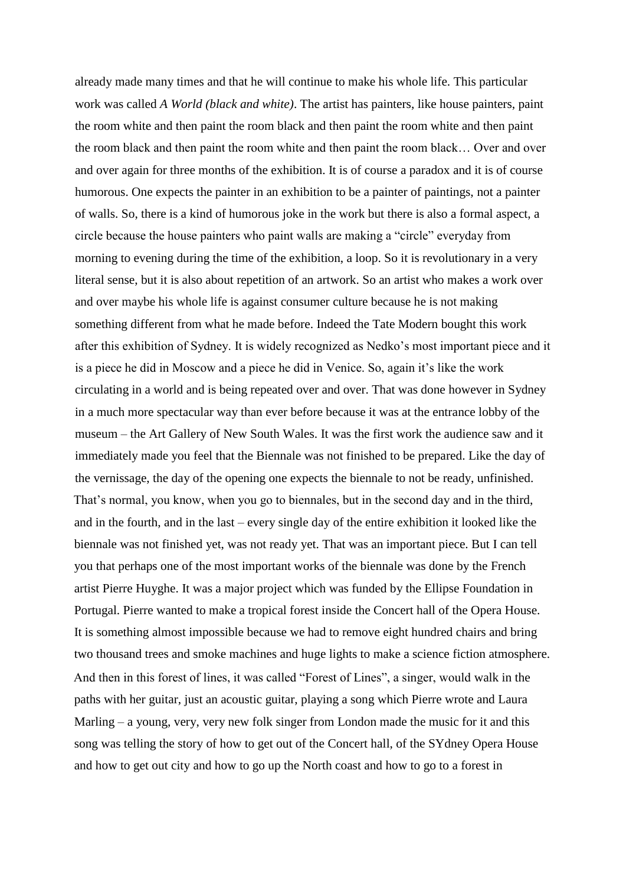already made many times and that he will continue to make his whole life. This particular work was called *A World (black and white)*. The artist has painters, like house painters, paint the room white and then paint the room black and then paint the room white and then paint the room black and then paint the room white and then paint the room black… Over and over and over again for three months of the exhibition. It is of course a paradox and it is of course humorous. One expects the painter in an exhibition to be a painter of paintings, not a painter of walls. So, there is a kind of humorous joke in the work but there is also a formal aspect, a circle because the house painters who paint walls are making a "circle" everyday from morning to evening during the time of the exhibition, a loop. So it is revolutionary in a very literal sense, but it is also about repetition of an artwork. So an artist who makes a work over and over maybe his whole life is against consumer culture because he is not making something different from what he made before. Indeed the Tate Modern bought this work after this exhibition of Sydney. It is widely recognized as Nedko's most important piece and it is a piece he did in Moscow and a piece he did in Venice. So, again it's like the work circulating in a world and is being repeated over and over. That was done however in Sydney in a much more spectacular way than ever before because it was at the entrance lobby of the museum – the Art Gallery of New South Wales. It was the first work the audience saw and it immediately made you feel that the Biennale was not finished to be prepared. Like the day of the vernissage, the day of the opening one expects the biennale to not be ready, unfinished. That's normal, you know, when you go to biennales, but in the second day and in the third, and in the fourth, and in the last – every single day of the entire exhibition it looked like the biennale was not finished yet, was not ready yet. That was an important piece. But I can tell you that perhaps one of the most important works of the biennale was done by the French artist Pierre Huyghe. It was a major project which was funded by the Ellipse Foundation in Portugal. Pierre wanted to make a tropical forest inside the Concert hall of the Opera House. It is something almost impossible because we had to remove eight hundred chairs and bring two thousand trees and smoke machines and huge lights to make a science fiction atmosphere. And then in this forest of lines, it was called "Forest of Lines", a singer, would walk in the paths with her guitar, just an acoustic guitar, playing a song which Pierre wrote and Laura Marling – a young, very, very new folk singer from London made the music for it and this song was telling the story of how to get out of the Concert hall, of the SYdney Opera House and how to get out city and how to go up the North coast and how to go to a forest in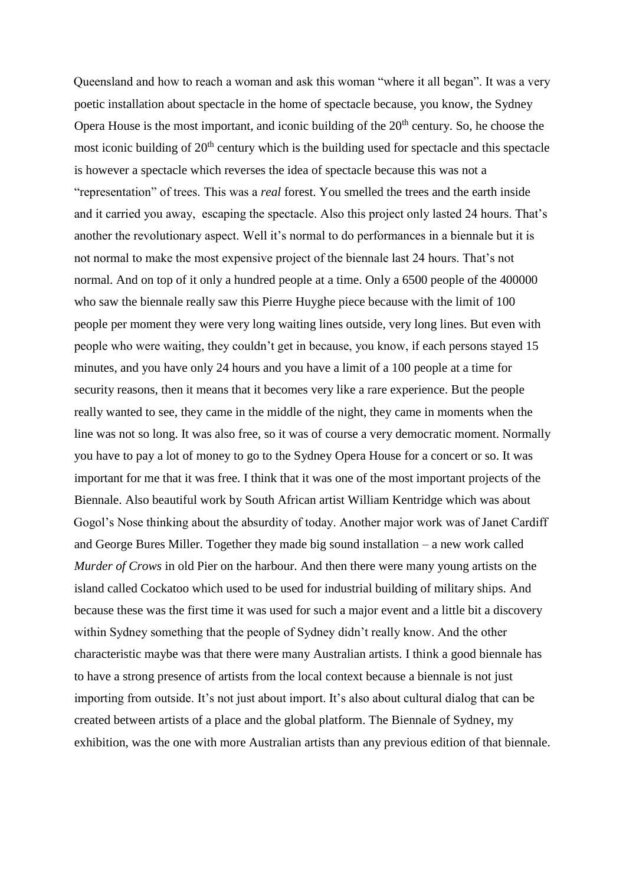Queensland and how to reach a woman and ask this woman "where it all began". It was a very poetic installation about spectacle in the home of spectacle because, you know, the Sydney Opera House is the most important, and iconic building of the  $20<sup>th</sup>$  century. So, he choose the most iconic building of 20<sup>th</sup> century which is the building used for spectacle and this spectacle is however a spectacle which reverses the idea of spectacle because this was not a "representation" of trees. This was a *real* forest. You smelled the trees and the earth inside and it carried you away, escaping the spectacle. Also this project only lasted 24 hours. That's another the revolutionary aspect. Well it's normal to do performances in a biennale but it is not normal to make the most expensive project of the biennale last 24 hours. That's not normal. And on top of it only a hundred people at a time. Only a 6500 people of the 400000 who saw the biennale really saw this Pierre Huyghe piece because with the limit of 100 people per moment they were very long waiting lines outside, very long lines. But even with people who were waiting, they couldn't get in because, you know, if each persons stayed 15 minutes, and you have only 24 hours and you have a limit of a 100 people at a time for security reasons, then it means that it becomes very like a rare experience. But the people really wanted to see, they came in the middle of the night, they came in moments when the line was not so long. It was also free, so it was of course a very democratic moment. Normally you have to pay a lot of money to go to the Sydney Opera House for a concert or so. It was important for me that it was free. I think that it was one of the most important projects of the Biennale. Also beautiful work by South African artist William Kentridge which was about Gogol's Nose thinking about the absurdity of today. Another major work was of Janet Cardiff and George Bures Miller. Together they made big sound installation – a new work called *Murder of Crows* in old Pier on the harbour. And then there were many young artists on the island called Cockatoo which used to be used for industrial building of military ships. And because these was the first time it was used for such a major event and a little bit a discovery within Sydney something that the people of Sydney didn't really know. And the other characteristic maybe was that there were many Australian artists. I think a good biennale has to have a strong presence of artists from the local context because a biennale is not just importing from outside. It's not just about import. It's also about cultural dialog that can be created between artists of a place and the global platform. The Biennale of Sydney, my exhibition, was the one with more Australian artists than any previous edition of that biennale.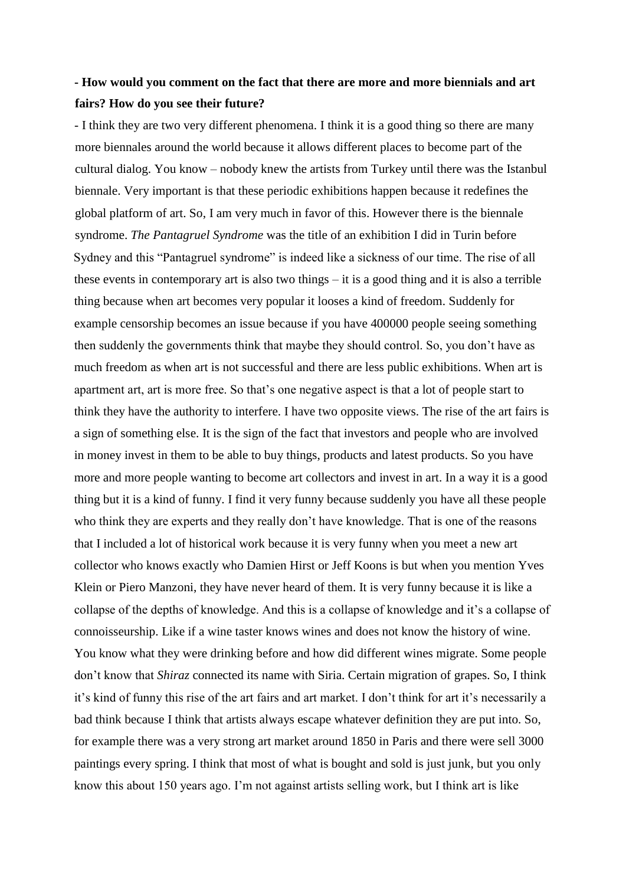#### **- How would you comment on the fact that there are more and more biennials and art fairs? How do you see their future?**

- I think they are two very different phenomena. I think it is a good thing so there are many more biennales around the world because it allows different places to become part of the cultural dialog. You know – nobody knew the artists from Turkey until there was the Istanbul biennale. Very important is that these periodic exhibitions happen because it redefines the global platform of art. So, I am very much in favor of this. However there is the biennale syndrome. *The Pantagruel Syndrome* was the title of an exhibition I did in Turin before Sydney and this "Pantagruel syndrome" is indeed like a sickness of our time. The rise of all these events in contemporary art is also two things – it is a good thing and it is also a terrible thing because when art becomes very popular it looses a kind of freedom. Suddenly for example censorship becomes an issue because if you have 400000 people seeing something then suddenly the governments think that maybe they should control. So, you don't have as much freedom as when art is not successful and there are less public exhibitions. When art is apartment art, art is more free. So that's one negative aspect is that a lot of people start to think they have the authority to interfere. I have two opposite views. The rise of the art fairs is a sign of something else. It is the sign of the fact that investors and people who are involved in money invest in them to be able to buy things, products and latest products. So you have more and more people wanting to become art collectors and invest in art. In a way it is a good thing but it is a kind of funny. I find it very funny because suddenly you have all these people who think they are experts and they really don't have knowledge. That is one of the reasons that I included a lot of historical work because it is very funny when you meet a new art collector who knows exactly who Damien Hirst or Jeff Koons is but when you mention Yves Klein or Piero Manzoni, they have never heard of them. It is very funny because it is like a collapse of the depths of knowledge. And this is a collapse of knowledge and it's a collapse of connoisseurship. Like if a wine taster knows wines and does not know the history of wine. You know what they were drinking before and how did different wines migrate. Some people don't know that *Shiraz* connected its name with Siria. Certain migration of grapes. So, I think it's kind of funny this rise of the art fairs and art market. I don't think for art it's necessarily a bad think because I think that artists always escape whatever definition they are put into. So, for example there was a very strong art market around 1850 in Paris and there were sell 3000 paintings every spring. I think that most of what is bought and sold is just junk, but you only know this about 150 years ago. I'm not against artists selling work, but I think art is like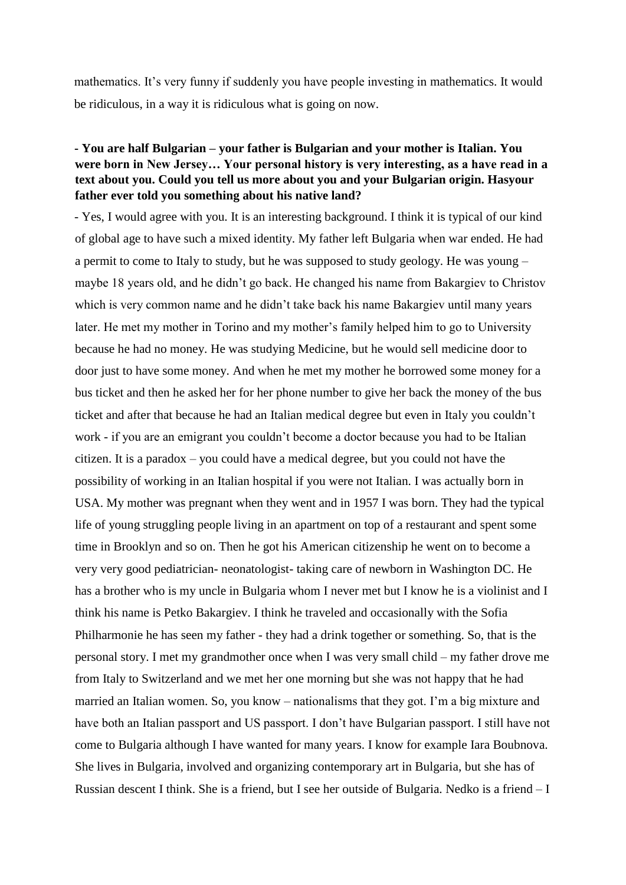mathematics. It's very funny if suddenly you have people investing in mathematics. It would be ridiculous, in a way it is ridiculous what is going on now.

#### **- You are half Bulgarian – your father is Bulgarian and your mother is Italian. You were born in New Jersey… Your personal history is very interesting, as a have read in a text about you. Could you tell us more about you and your Bulgarian origin. Hasyour father ever told you something about his native land?**

- Yes, I would agree with you. It is an interesting background. I think it is typical of our kind of global age to have such a mixed identity. My father left Bulgaria when war ended. He had a permit to come to Italy to study, but he was supposed to study geology. He was young – maybe 18 years old, and he didn't go back. He changed his name from Bakargiev to Christov which is very common name and he didn't take back his name Bakargiev until many years later. He met my mother in Torino and my mother's family helped him to go to University because he had no money. He was studying Medicine, but he would sell medicine door to door just to have some money. And when he met my mother he borrowed some money for a bus ticket and then he asked her for her phone number to give her back the money of the bus ticket and after that because he had an Italian medical degree but even in Italy you couldn't work - if you are an emigrant you couldn't become a doctor because you had to be Italian citizen. It is a paradox – you could have a medical degree, but you could not have the possibility of working in an Italian hospital if you were not Italian. I was actually born in USA. My mother was pregnant when they went and in 1957 I was born. They had the typical life of young struggling people living in an apartment on top of a restaurant and spent some time in Brooklyn and so on. Then he got his American citizenship he went on to become a very very good pediatrician- neonatologist- taking care of newborn in Washington DC. He has a brother who is my uncle in Bulgaria whom I never met but I know he is a violinist and I think his name is Petko Bakargiev. I think he traveled and occasionally with the Sofia Philharmonie he has seen my father - they had a drink together or something. So, that is the personal story. I met my grandmother once when I was very small child – my father drove me from Italy to Switzerland and we met her one morning but she was not happy that he had married an Italian women. So, you know – nationalisms that they got. I'm a big mixture and have both an Italian passport and US passport. I don't have Bulgarian passport. I still have not come to Bulgaria although I have wanted for many years. I know for example Iara Boubnova. She lives in Bulgaria, involved and organizing contemporary art in Bulgaria, but she has of Russian descent I think. She is a friend, but I see her outside of Bulgaria. Nedko is a friend – I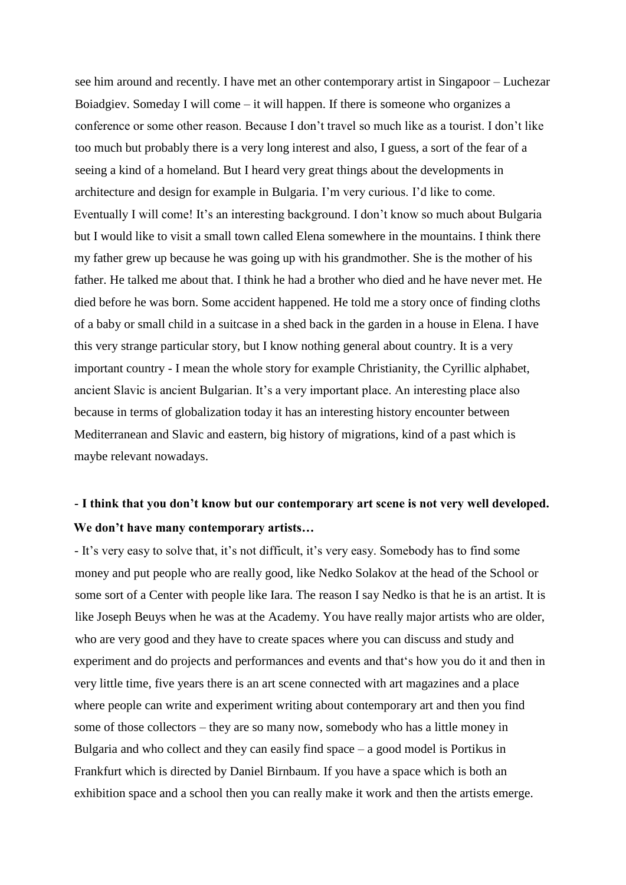see him around and recently. I have met an other contemporary artist in Singapoor – Luchezar Boiadgiev. Someday I will come – it will happen. If there is someone who organizes a conference or some other reason. Because I don't travel so much like as a tourist. I don't like too much but probably there is a very long interest and also, I guess, a sort of the fear of a seeing a kind of a homeland. But I heard very great things about the developments in architecture and design for example in Bulgaria. I'm very curious. I'd like to come. Eventually I will come! It's an interesting background. I don't know so much about Bulgaria but I would like to visit a small town called Elena somewhere in the mountains. I think there my father grew up because he was going up with his grandmother. She is the mother of his father. He talked me about that. I think he had a brother who died and he have never met. He died before he was born. Some accident happened. He told me a story once of finding cloths of a baby or small child in a suitcase in a shed back in the garden in a house in Elena. I have this very strange particular story, but I know nothing general about country. It is a very important country - I mean the whole story for example Christianity, the Cyrillic alphabet, ancient Slavic is ancient Bulgarian. It's a very important place. An interesting place also because in terms of globalization today it has an interesting history encounter between Mediterranean and Slavic and eastern, big history of migrations, kind of a past which is maybe relevant nowadays.

## **- I think that you don't know but our contemporary art scene is not very well developed. We don't have many contemporary artists…**

- It's very easy to solve that, it's not difficult, it's very easy. Somebody has to find some money and put people who are really good, like Nedko Solakov at the head of the School or some sort of a Center with people like Iara. The reason I say Nedko is that he is an artist. It is like Joseph Beuys when he was at the Academy. You have really major artists who are older, who are very good and they have to create spaces where you can discuss and study and experiment and do projects and performances and events and that's how you do it and then in very little time, five years there is an art scene connected with art magazines and a place where people can write and experiment writing about contemporary art and then you find some of those collectors – they are so many now, somebody who has a little money in Bulgaria and who collect and they can easily find space – a good model is Portikus in Frankfurt which is directed by Daniel Birnbaum. If you have a space which is both an exhibition space and a school then you can really make it work and then the artists emerge.